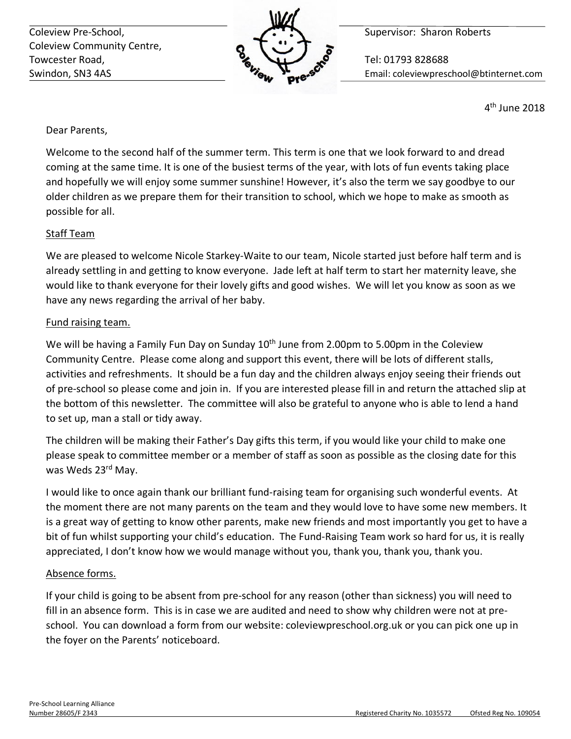Coleview Pre-School, **Supervisor: Sharon Roberts** Coleview Pre-School, Coleview Community Centre, Towcester Road, **The Contract of Contract Contract Contract Contract Contract Contract Contract Contract Contract Contract Contract Contract Contract Contract Contract Contract Contract Contract Contract Contract Contract** 



Swindon, SN3 4AS Email: coleviewpreschool@btinternet.com

4th June 2018

Dear Parents,

Welcome to the second half of the summer term. This term is one that we look forward to and dread coming at the same time. It is one of the busiest terms of the year, with lots of fun events taking place and hopefully we will enjoy some summer sunshine! However, it's also the term we say goodbye to our older children as we prepare them for their transition to school, which we hope to make as smooth as possible for all.

## Staff Team

We are pleased to welcome Nicole Starkey-Waite to our team, Nicole started just before half term and is already settling in and getting to know everyone. Jade left at half term to start her maternity leave, she would like to thank everyone for their lovely gifts and good wishes. We will let you know as soon as we have any news regarding the arrival of her baby.

#### Fund raising team.

We will be having a Family Fun Day on Sunday  $10<sup>th</sup>$  June from 2.00pm to 5.00pm in the Coleview Community Centre. Please come along and support this event, there will be lots of different stalls, activities and refreshments. It should be a fun day and the children always enjoy seeing their friends out of pre-school so please come and join in. If you are interested please fill in and return the attached slip at the bottom of this newsletter. The committee will also be grateful to anyone who is able to lend a hand to set up, man a stall or tidy away.

The children will be making their Father's Day gifts this term, if you would like your child to make one please speak to committee member or a member of staff as soon as possible as the closing date for this was Weds 23rd May.

I would like to once again thank our brilliant fund-raising team for organising such wonderful events. At the moment there are not many parents on the team and they would love to have some new members. It is a great way of getting to know other parents, make new friends and most importantly you get to have a bit of fun whilst supporting your child's education. The Fund-Raising Team work so hard for us, it is really appreciated, I don't know how we would manage without you, thank you, thank you, thank you.

#### Absence forms.

If your child is going to be absent from pre-school for any reason (other than sickness) you will need to fill in an absence form. This is in case we are audited and need to show why children were not at preschool. You can download a form from our website: coleviewpreschool.org.uk or you can pick one up in the foyer on the Parents' noticeboard.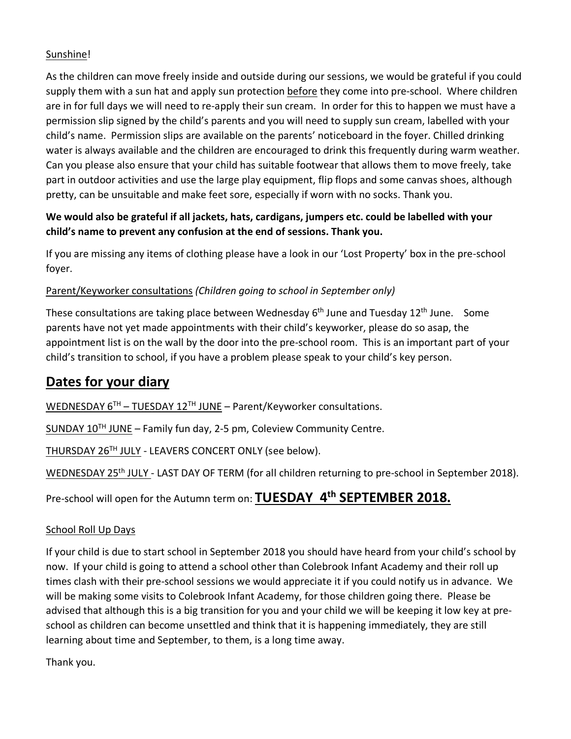#### Sunshine!

As the children can move freely inside and outside during our sessions, we would be grateful if you could supply them with a sun hat and apply sun protection before they come into pre-school. Where children are in for full days we will need to re-apply their sun cream. In order for this to happen we must have a permission slip signed by the child's parents and you will need to supply sun cream, labelled with your child's name. Permission slips are available on the parents' noticeboard in the foyer. Chilled drinking water is always available and the children are encouraged to drink this frequently during warm weather. Can you please also ensure that your child has suitable footwear that allows them to move freely, take part in outdoor activities and use the large play equipment, flip flops and some canvas shoes, although pretty, can be unsuitable and make feet sore, especially if worn with no socks. Thank you.

## **We would also be grateful if all jackets, hats, cardigans, jumpers etc. could be labelled with your child's name to prevent any confusion at the end of sessions. Thank you.**

If you are missing any items of clothing please have a look in our 'Lost Property' box in the pre-school foyer.

## Parent/Keyworker consultations *(Children going to school in September only)*

These consultations are taking place between Wednesday 6<sup>th</sup> June and Tuesday 12<sup>th</sup> June. Some parents have not yet made appointments with their child's keyworker, please do so asap, the appointment list is on the wall by the door into the pre-school room. This is an important part of your child's transition to school, if you have a problem please speak to your child's key person.

## **Dates for your diary**

WEDNESDAY  $6^{TH}$  – TUESDAY 12<sup>TH</sup> JUNE – Parent/Keyworker consultations.

SUNDAY  $10^{TH}$  JUNE – Family fun day, 2-5 pm, Coleview Community Centre.

THURSDAY 26<sup>TH</sup> JULY - LEAVERS CONCERT ONLY (see below).

WEDNESDAY 25<sup>th</sup> JULY - LAST DAY OF TERM (for all children returning to pre-school in September 2018).

Pre-school will open for the Autumn term on: **TUESDAY 4th SEPTEMBER 2018.**

## School Roll Up Days

If your child is due to start school in September 2018 you should have heard from your child's school by now. If your child is going to attend a school other than Colebrook Infant Academy and their roll up times clash with their pre-school sessions we would appreciate it if you could notify us in advance. We will be making some visits to Colebrook Infant Academy, for those children going there. Please be advised that although this is a big transition for you and your child we will be keeping it low key at preschool as children can become unsettled and think that it is happening immediately, they are still learning about time and September, to them, is a long time away.

Thank you.